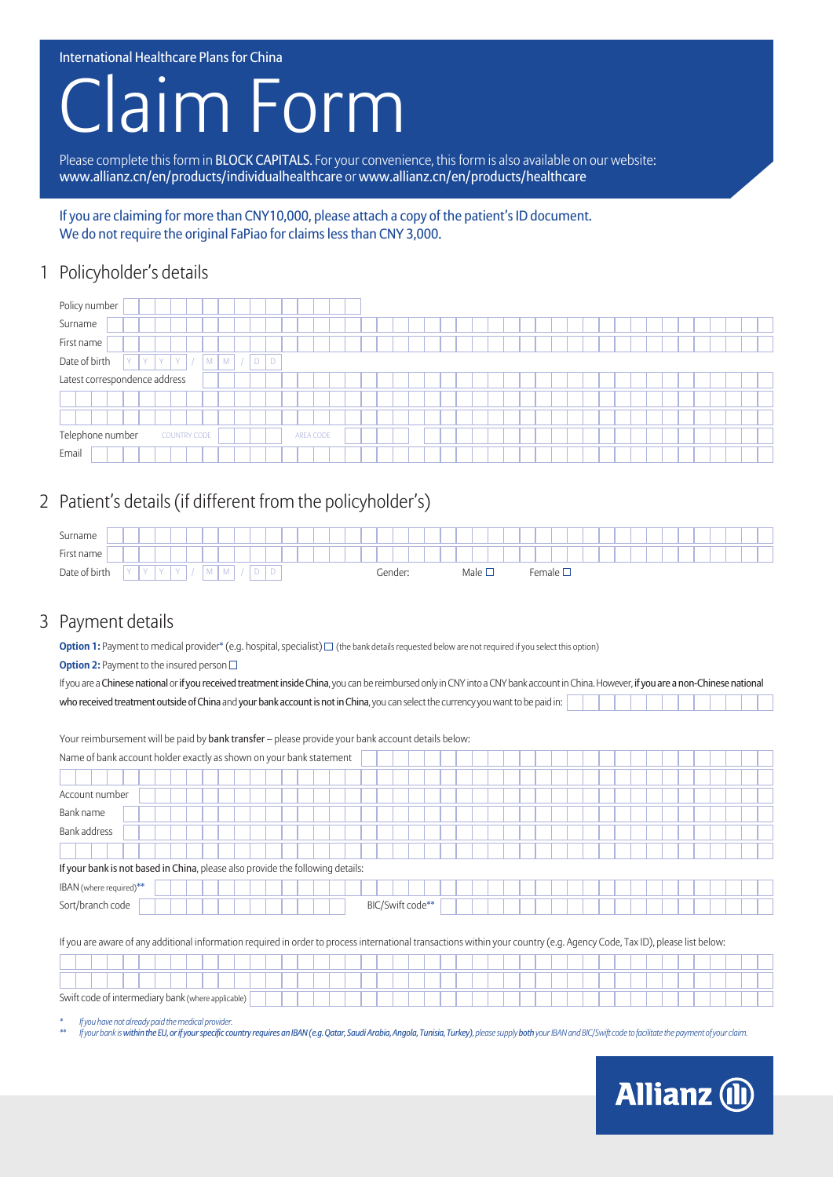International Healthcare Plans for China

# **Jaim Form**

Please complete this form in BLOCK CAPITALS. For your convenience, this form is also available on our website: www.allianz.cn/en/products/individualhealthcare or www.allianz.cn/en/products/healthcare

If you are claiming for more than CNY10,000, please attach a copy of the patient's ID document. We do not require the original FaPiao for claims less than CNY 3,000.

## 1 Policyholder's details



# 2 Patient's details (if different from the policyholder's)

| Surname       |  |               |  |  |          |        |  |        |   |  |  |  |         |  |  |                      |  |                      |  |  |  |  |  |  |  |
|---------------|--|---------------|--|--|----------|--------|--|--------|---|--|--|--|---------|--|--|----------------------|--|----------------------|--|--|--|--|--|--|--|
| First name    |  |               |  |  |          |        |  |        |   |  |  |  |         |  |  |                      |  |                      |  |  |  |  |  |  |  |
| Date of birth |  | $\mathcal{M}$ |  |  | $\cdots$ | $\sim$ |  | -<br>◡ | ◡ |  |  |  | Gender: |  |  | Male $\square$<br>__ |  | <sup>∓</sup> emale □ |  |  |  |  |  |  |  |

# 3 Payment details

**Option 1:** Payment to medical provider\* (e.g. hospital, specialist)  $\Box$  (the bank details requested below are not required if you select this option) **Option 2:** Payment to the insured person  $\Box$ 

| If you are a Chinese national or if you received treatment inside China, you can be reimbursed only in CNY into a CNY bank account in China. However, if you are a non-Chinese national |  |
|-----------------------------------------------------------------------------------------------------------------------------------------------------------------------------------------|--|
| who received treatment outside of China and your bank account is not in China, you can select the currency you want to be paid in:                                                      |  |

| Your reimbursement will be paid by bank transfer - please provide your bank account details below:                                                                        |                  |  |  |  |  |  |  |  |  |  |  |  |  |  |  |
|---------------------------------------------------------------------------------------------------------------------------------------------------------------------------|------------------|--|--|--|--|--|--|--|--|--|--|--|--|--|--|
| Name of bank account holder exactly as shown on your bank statement                                                                                                       |                  |  |  |  |  |  |  |  |  |  |  |  |  |  |  |
|                                                                                                                                                                           |                  |  |  |  |  |  |  |  |  |  |  |  |  |  |  |
| Account number                                                                                                                                                            |                  |  |  |  |  |  |  |  |  |  |  |  |  |  |  |
| Bank name                                                                                                                                                                 |                  |  |  |  |  |  |  |  |  |  |  |  |  |  |  |
| Bank address                                                                                                                                                              |                  |  |  |  |  |  |  |  |  |  |  |  |  |  |  |
|                                                                                                                                                                           |                  |  |  |  |  |  |  |  |  |  |  |  |  |  |  |
| If your bank is not based in China, please also provide the following details:                                                                                            |                  |  |  |  |  |  |  |  |  |  |  |  |  |  |  |
| IBAN (where required)**                                                                                                                                                   |                  |  |  |  |  |  |  |  |  |  |  |  |  |  |  |
| Sort/branch code                                                                                                                                                          | BIC/Swift code** |  |  |  |  |  |  |  |  |  |  |  |  |  |  |
|                                                                                                                                                                           |                  |  |  |  |  |  |  |  |  |  |  |  |  |  |  |
| If you are aware of any additional information required in order to process international transactions within your country (e.g. Agency Code, Tax ID), please list below: |                  |  |  |  |  |  |  |  |  |  |  |  |  |  |  |
|                                                                                                                                                                           |                  |  |  |  |  |  |  |  |  |  |  |  |  |  |  |
|                                                                                                                                                                           |                  |  |  |  |  |  |  |  |  |  |  |  |  |  |  |
| Swift code of intermediary bank (where applicable)                                                                                                                        |                  |  |  |  |  |  |  |  |  |  |  |  |  |  |  |

*\* If you have not already paid the medical provider.*

riyour bank is within the EU, or if your specific country requires an IBAN (e.g. Qatar, Saudi Arabia, Angola, Tunisia, Turkey), please supply both your IBAN and BIC/Swift code to facilitate the payment of your claim.

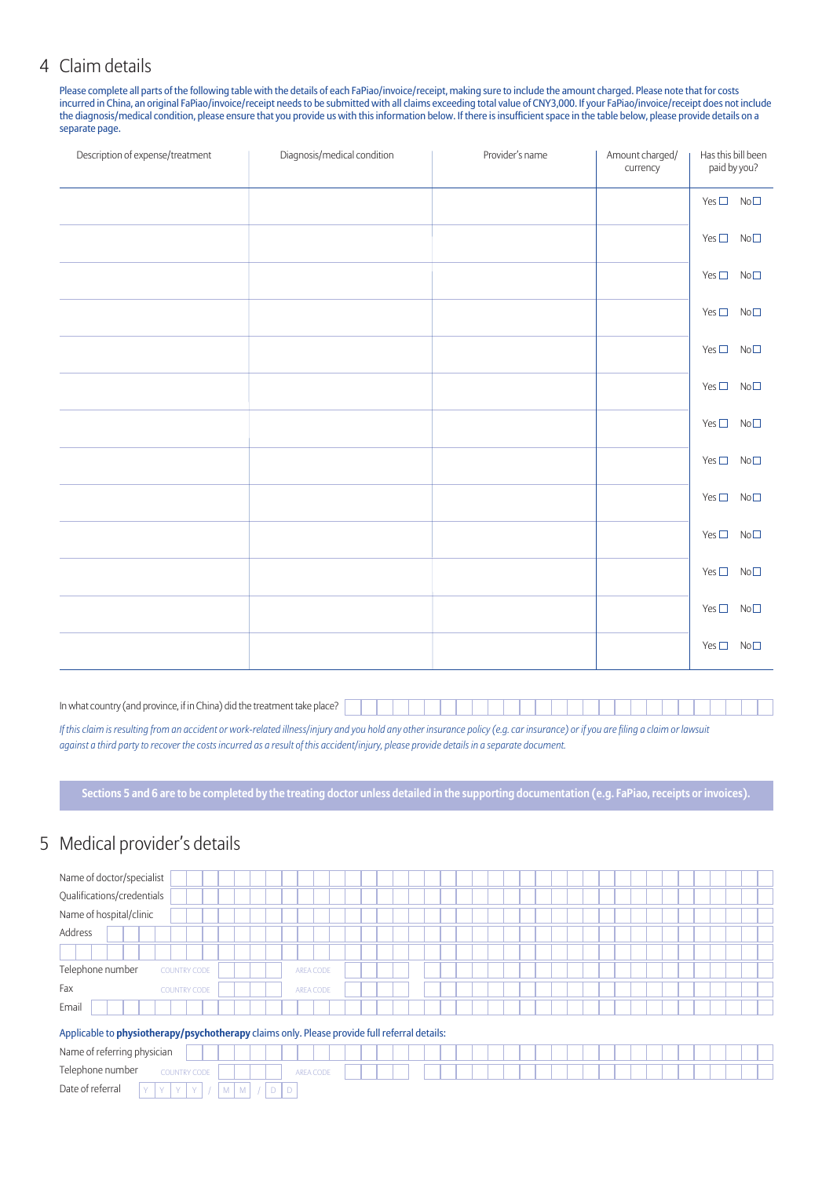#### 4 Claim details

Please complete all parts of the following table with the details of each FaPiao/invoice/receipt, making sure to include the amount charged. Please note that for costs incurred in China, an original FaPiao/invoice/receipt needs to be submitted with all claims exceeding total value of CNY3,000. If your FaPiao/invoice/receipt does not include the diagnosis/medical condition, please ensure that you provide us with this information below. If there is insufficient space in the table below, please provide details on a separate page.

| Description of expense/treatment | Diagnosis/medical condition | Provider's name | Amount charged/<br>currency | Has this bill been<br>paid by you? |
|----------------------------------|-----------------------------|-----------------|-----------------------------|------------------------------------|
|                                  |                             |                 |                             | $Yes \Box No \Box$                 |
|                                  |                             |                 |                             | $Yes \Box No \Box$                 |
|                                  |                             |                 |                             | $Yes \Box No \Box$                 |
|                                  |                             |                 |                             | $Yes \Box No \Box$                 |
|                                  |                             |                 |                             | $Yes \Box No \Box$                 |
|                                  |                             |                 |                             | $Yes \Box No \Box$                 |
|                                  |                             |                 |                             | $Yes \Box No \Box$                 |
|                                  |                             |                 |                             | Yes $\square$ No $\square$         |
|                                  |                             |                 |                             | $Yes \Box No \Box$                 |
|                                  |                             |                 |                             | $Yes \Box No \Box$                 |
|                                  |                             |                 |                             | $Yes \Box No \Box$                 |
|                                  |                             |                 |                             | $Yes \Box No \Box$                 |
|                                  |                             |                 |                             | $Yes \Box No \Box$                 |

In what country (and province, if in China) did the treatment take place?

*If this claim is resulting from an accident or work-related illness/injury and you hold any other insurance policy (e.g. car insurance) or if you are filing a claim or lawsuit against a third party to recover the costs incurred as a result of this accident/injury, please provide details in a separate document.*

**Sections 5 and 6 are to be completed by the treating doctor unless detailed in the supporting documentation (e.g. FaPiao, receipts or invoices).**

## 5 Medical provider's details

| Name of doctor/specialist                                                                    |           |  |  |  |  |  |  |  |  |
|----------------------------------------------------------------------------------------------|-----------|--|--|--|--|--|--|--|--|
| Qualifications/credentials                                                                   |           |  |  |  |  |  |  |  |  |
| Name of hospital/clinic                                                                      |           |  |  |  |  |  |  |  |  |
| Address                                                                                      |           |  |  |  |  |  |  |  |  |
|                                                                                              |           |  |  |  |  |  |  |  |  |
| Telephone number<br><b>COUNTRY CODE</b>                                                      | AREA CODE |  |  |  |  |  |  |  |  |
| Fax<br><b>COUNTRY CODE</b>                                                                   | AREA CODE |  |  |  |  |  |  |  |  |
| Email                                                                                        |           |  |  |  |  |  |  |  |  |
| Applicable to physiotherapy/psychotherapy claims only. Please provide full referral details: |           |  |  |  |  |  |  |  |  |
| Name of referring physician                                                                  |           |  |  |  |  |  |  |  |  |
| Telephone number<br><b>COUNTRY CODE</b>                                                      | AREA CODE |  |  |  |  |  |  |  |  |
| Date of referral<br>Y<br>Y.<br>Y<br>Y<br>$\overline{D}$<br>M<br>M                            | D         |  |  |  |  |  |  |  |  |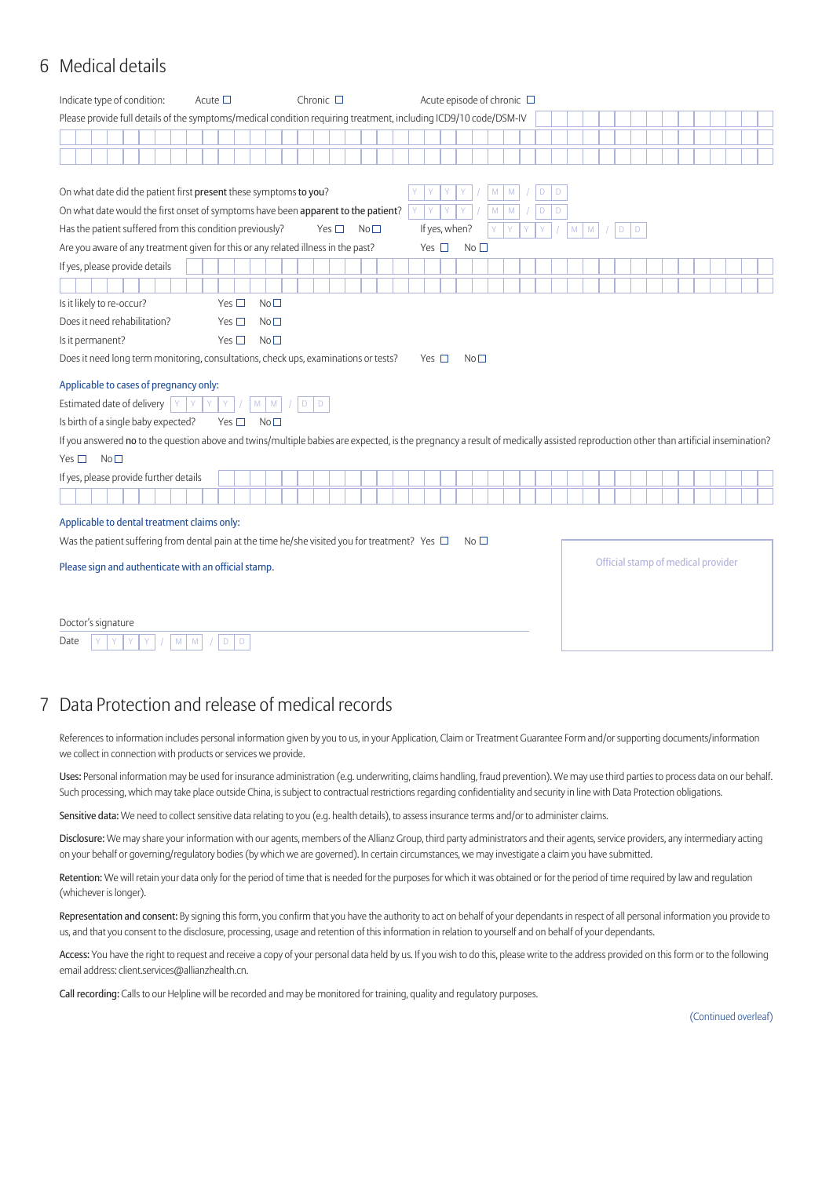## 6 Medical details

| Indicate type of condition:                                                                                                                                                       | Acute $\square$ | Chronic $\square$                |                 |               | Acute episode of chronic $\Box$ |                 |                        |                |             |   |           |             |  |  |                                    |  |
|-----------------------------------------------------------------------------------------------------------------------------------------------------------------------------------|-----------------|----------------------------------|-----------------|---------------|---------------------------------|-----------------|------------------------|----------------|-------------|---|-----------|-------------|--|--|------------------------------------|--|
| Please provide full details of the symptoms/medical condition requiring treatment, including ICD9/10 code/DSM-IV                                                                  |                 |                                  |                 |               |                                 |                 |                        |                |             |   |           |             |  |  |                                    |  |
|                                                                                                                                                                                   |                 |                                  |                 |               |                                 |                 |                        |                |             |   |           |             |  |  |                                    |  |
|                                                                                                                                                                                   |                 |                                  |                 |               |                                 |                 |                        |                |             |   |           |             |  |  |                                    |  |
|                                                                                                                                                                                   |                 |                                  |                 |               |                                 |                 |                        |                |             |   |           |             |  |  |                                    |  |
| On what date did the patient first present these symptoms to you?                                                                                                                 |                 |                                  |                 |               |                                 |                 | M<br>M                 | D              | D           |   |           |             |  |  |                                    |  |
| On what date would the first onset of symptoms have been apparent to the patient?                                                                                                 |                 |                                  |                 | Y             |                                 |                 | ${\sf M}$<br>${\sf M}$ | $\overline{D}$ | $\mathsf D$ |   |           |             |  |  |                                    |  |
| Has the patient suffered from this condition previously?                                                                                                                          |                 | Yes $\square$                    | No <sub>1</sub> |               | If yes, when?                   |                 | Y<br>Ÿ                 |                |             | M | ${\sf M}$ | $\mathsf D$ |  |  |                                    |  |
| Are you aware of any treatment given for this or any related illness in the past?                                                                                                 |                 |                                  |                 | Yes $\Box$    |                                 | No <sub>1</sub> |                        |                |             |   |           |             |  |  |                                    |  |
| If yes, please provide details                                                                                                                                                    |                 |                                  |                 |               |                                 |                 |                        |                |             |   |           |             |  |  |                                    |  |
|                                                                                                                                                                                   |                 |                                  |                 |               |                                 |                 |                        |                |             |   |           |             |  |  |                                    |  |
| Is it likely to re-occur?                                                                                                                                                         | Yes $\square$   | No <sub>1</sub>                  |                 |               |                                 |                 |                        |                |             |   |           |             |  |  |                                    |  |
| Does it need rehabilitation?                                                                                                                                                      | Yes $\square$   | No <sup>2</sup>                  |                 |               |                                 |                 |                        |                |             |   |           |             |  |  |                                    |  |
| Is it permanent?                                                                                                                                                                  | Yes $\square$   | No <sub>1</sub>                  |                 |               |                                 |                 |                        |                |             |   |           |             |  |  |                                    |  |
| Does it need long term monitoring, consultations, check ups, examinations or tests?                                                                                               |                 |                                  |                 | Yes $\square$ |                                 | No <sub>1</sub> |                        |                |             |   |           |             |  |  |                                    |  |
| Applicable to cases of pregnancy only:                                                                                                                                            |                 |                                  |                 |               |                                 |                 |                        |                |             |   |           |             |  |  |                                    |  |
| Estimated date of delivery $\ $ $\vee$                                                                                                                                            | Y<br>Y<br>Y.    | $M$ $M$<br>$\mathsf D$<br>$\Box$ |                 |               |                                 |                 |                        |                |             |   |           |             |  |  |                                    |  |
| Is birth of a single baby expected?                                                                                                                                               | Yes $\square$   | No <sub>1</sub>                  |                 |               |                                 |                 |                        |                |             |   |           |             |  |  |                                    |  |
| If you answered no to the question above and twins/multiple babies are expected, is the pregnancy a result of medically assisted reproduction other than artificial insemination? |                 |                                  |                 |               |                                 |                 |                        |                |             |   |           |             |  |  |                                    |  |
| No <sub>1</sub><br>Yes $\square$                                                                                                                                                  |                 |                                  |                 |               |                                 |                 |                        |                |             |   |           |             |  |  |                                    |  |
| If yes, please provide further details                                                                                                                                            |                 |                                  |                 |               |                                 |                 |                        |                |             |   |           |             |  |  |                                    |  |
|                                                                                                                                                                                   |                 |                                  |                 |               |                                 |                 |                        |                |             |   |           |             |  |  |                                    |  |
| Applicable to dental treatment claims only:                                                                                                                                       |                 |                                  |                 |               |                                 |                 |                        |                |             |   |           |             |  |  |                                    |  |
| Was the patient suffering from dental pain at the time he/she visited you for treatment? Yes $\Box$                                                                               |                 |                                  |                 |               |                                 | No <sub>1</sub> |                        |                |             |   |           |             |  |  |                                    |  |
|                                                                                                                                                                                   |                 |                                  |                 |               |                                 |                 |                        |                |             |   |           |             |  |  | Official stamp of medical provider |  |
| Please sign and authenticate with an official stamp.                                                                                                                              |                 |                                  |                 |               |                                 |                 |                        |                |             |   |           |             |  |  |                                    |  |
|                                                                                                                                                                                   |                 |                                  |                 |               |                                 |                 |                        |                |             |   |           |             |  |  |                                    |  |
|                                                                                                                                                                                   |                 |                                  |                 |               |                                 |                 |                        |                |             |   |           |             |  |  |                                    |  |
| Doctor's signature                                                                                                                                                                |                 |                                  |                 |               |                                 |                 |                        |                |             |   |           |             |  |  |                                    |  |
| M<br>Date                                                                                                                                                                         | D<br>D<br>M     |                                  |                 |               |                                 |                 |                        |                |             |   |           |             |  |  |                                    |  |

### 7 Data Protection and release of medical records

References to information includes personal information given by you to us, in your Application, Claim or Treatment Guarantee Form and/or supporting documents/information we collect in connection with products or services we provide.

Uses: Personal information may be used for insurance administration (e.g. underwriting, claims handling, fraud prevention). We may use third parties to process data on our behalf. Such processing, which may take place outside China, is subject to contractual restrictions regarding confidentiality and security in line with Data Protection obligations.

Sensitive data: We need to collect sensitive data relating to you (e.g. health details), to assess insurance terms and/or to administer claims.

Disclosure: We may share your information with our agents, members of the Allianz Group, third party administrators and their agents, service providers, any intermediary acting on your behalf or governing/regulatory bodies (by which we are governed). In certain circumstances, we may investigate a claim you have submitted.

Retention: We will retain your data only for the period of time that is needed for the purposes for which it was obtained or for the period of time required by law and regulation (whichever is longer).

Representation and consent: By signing this form, you confirm that you have the authority to act on behalf of your dependants in respect of all personal information you provide to us, and that you consent to the disclosure, processing, usage and retention of this information in relation to yourself and on behalf of your dependants.

Access: You have the right to request and receive a copy of your personal data held by us. If you wish to do this, please write to the address provided on this form or to the following email address: client.services@allianzhealth.cn.

Call recording: Calls to our Helpline will be recorded and may be monitored for training, quality and regulatory purposes.

(Continued overleaf)